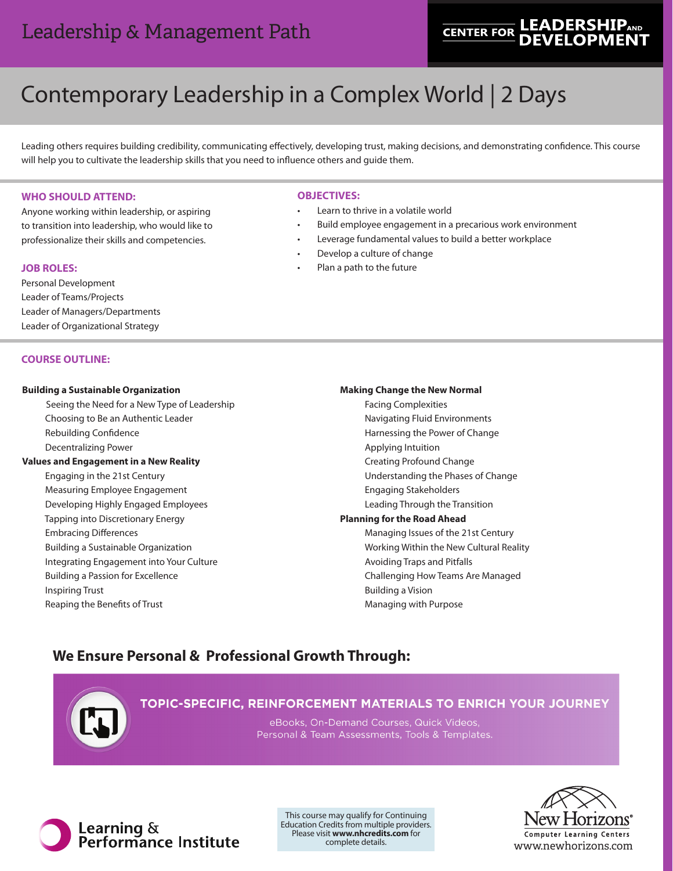# **LEADERSHIP<sub>AND</sub> CENTER FOR**

# Contemporary Leadership in a Complex World | 2 Days

Leading others requires building credibility, communicating effectively, developing trust, making decisions, and demonstrating confidence. This course will help you to cultivate the leadership skills that you need to influence others and guide them.

# **WHO SHOULD ATTEND:**

Anyone working within leadership, or aspiring to transition into leadership, who would like to professionalize their skills and competencies.

# **JOB ROLES:**

Personal Development Leader of Teams/Projects Leader of Managers/Departments Leader of Organizational Strategy

# **COURSE OUTLINE:**

# **Building a Sustainable Organization**

Seeing the Need for a New Type of Leadership Choosing to Be an Authentic Leader Rebuilding Confidence Decentralizing Power

# **Values and Engagement in a New Reality**

 Engaging in the 21st Century Measuring Employee Engagement Developing Highly Engaged Employees Tapping into Discretionary Energy Embracing Differences Building a Sustainable Organization Integrating Engagement into Your Culture Building a Passion for Excellence Inspiring Trust Reaping the Benefits of Trust

# **OBJECTIVES:**

- Learn to thrive in a volatile world
- Build employee engagement in a precarious work environment
- Leverage fundamental values to build a better workplace
- Develop a culture of change
- Plan a path to the future

#### **Making Change the New Normal**

Facing Complexities Navigating Fluid Environments Harnessing the Power of Change Applying Intuition Creating Profound Change Understanding the Phases of Change Engaging Stakeholders Leading Through the Transition **Planning for the Road Ahead** Managing Issues of the 21st Century Working Within the New Cultural Reality Avoiding Traps and Pitfalls Challenging How Teams Are Managed Building a Vision Managing with Purpose

# **We Ensure Personal & Professional Growth Through:**



# TOPIC-SPECIFIC, REINFORCEMENT MATERIALS TO ENRICH YOUR JOURNEY

eBooks, On-Demand Courses, Quick Videos, Personal & Team Assessments, Tools & Templates.



This course may qualify for Continuing Education Credits from multiple providers. Please visit **www.nhcredits.com** for